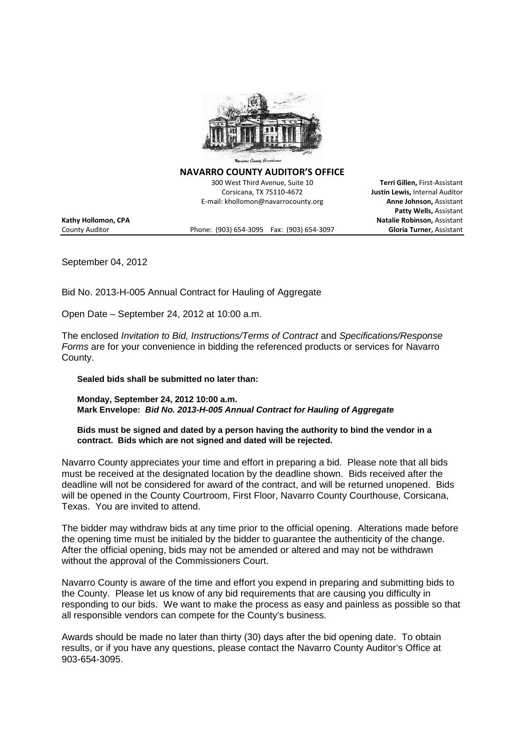

**NAVARRO COUNTY AUDITOR'S OFFICE**

300 West Third Avenue, Suite 10 **Terri Gillen,** First-Assistant Corsicana, TX 75110-4672 **Justin Lewis,** Internal Auditor E-mail: khollomon@navarrocounty.org **Anne Johnson,** Assistant

County Auditor Phone: (903) 654-3095 Fax: (903) 654-3097 **Gloria Turner,** Assistant

**Patty Wells,** Assistant **Kathy Hollomon, CPA Natalie Robinson,** Assistant

September 04, 2012

Bid No. 2013-H-005 Annual Contract for Hauling of Aggregate

Open Date – September 24, 2012 at 10:00 a.m.

The enclosed *Invitation to Bid, Instructions/Terms of Contract* and *Specifications/Response Forms* are for your convenience in bidding the referenced products or services for Navarro County.

**Sealed bids shall be submitted no later than:**

**Monday, September 24, 2012 10:00 a.m. Mark Envelope:** *Bid No. 2013-H-005 Annual Contract for Hauling of Aggregate*

**Bids must be signed and dated by a person having the authority to bind the vendor in a contract. Bids which are not signed and dated will be rejected.**

Navarro County appreciates your time and effort in preparing a bid. Please note that all bids must be received at the designated location by the deadline shown. Bids received after the deadline will not be considered for award of the contract, and will be returned unopened. Bids will be opened in the County Courtroom, First Floor, Navarro County Courthouse, Corsicana, Texas. You are invited to attend.

The bidder may withdraw bids at any time prior to the official opening. Alterations made before the opening time must be initialed by the bidder to guarantee the authenticity of the change. After the official opening, bids may not be amended or altered and may not be withdrawn without the approval of the Commissioners Court.

Navarro County is aware of the time and effort you expend in preparing and submitting bids to the County. Please let us know of any bid requirements that are causing you difficulty in responding to our bids. We want to make the process as easy and painless as possible so that all responsible vendors can compete for the County's business.

Awards should be made no later than thirty (30) days after the bid opening date. To obtain results, or if you have any questions, please contact the Navarro County Auditor's Office at 903-654-3095.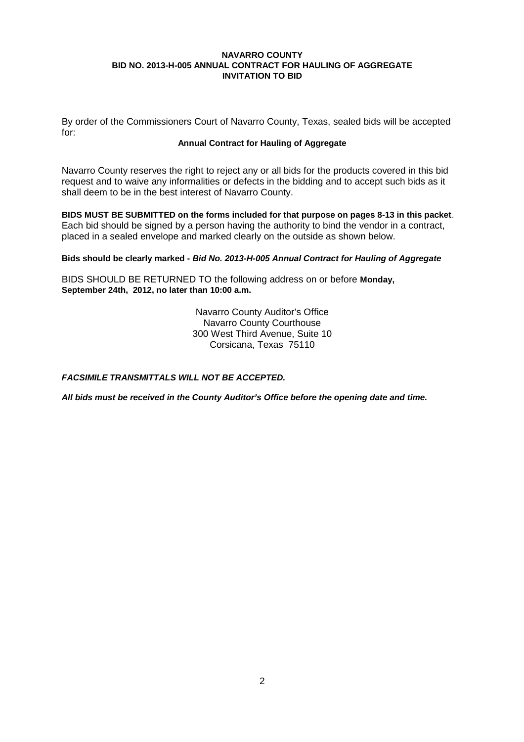By order of the Commissioners Court of Navarro County, Texas, sealed bids will be accepted for:

#### **Annual Contract for Hauling of Aggregate**

Navarro County reserves the right to reject any or all bids for the products covered in this bid request and to waive any informalities or defects in the bidding and to accept such bids as it shall deem to be in the best interest of Navarro County.

**BIDS MUST BE SUBMITTED on the forms included for that purpose on pages 8-13 in this packet**. Each bid should be signed by a person having the authority to bind the vendor in a contract, placed in a sealed envelope and marked clearly on the outside as shown below.

## **Bids should be clearly marked -** *Bid No. 2013-H-005 Annual Contract for Hauling of Aggregate*

BIDS SHOULD BE RETURNED TO the following address on or before **Monday, September 24th, 2012, no later than 10:00 a.m.**

> Navarro County Auditor's Office Navarro County Courthouse 300 West Third Avenue, Suite 10 Corsicana, Texas 75110

*FACSIMILE TRANSMITTALS WILL NOT BE ACCEPTED.*

*All bids must be received in the County Auditor's Office before the opening date and time.*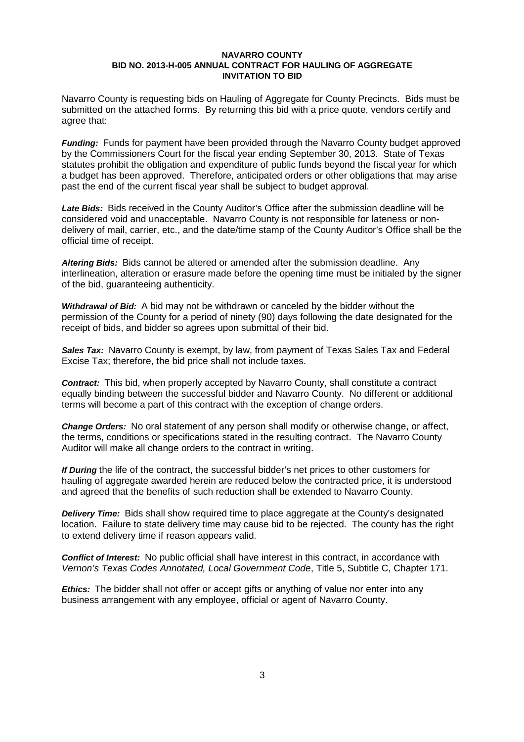Navarro County is requesting bids on Hauling of Aggregate for County Precincts. Bids must be submitted on the attached forms. By returning this bid with a price quote, vendors certify and agree that:

*Funding:* Funds for payment have been provided through the Navarro County budget approved by the Commissioners Court for the fiscal year ending September 30, 2013. State of Texas statutes prohibit the obligation and expenditure of public funds beyond the fiscal year for which a budget has been approved. Therefore, anticipated orders or other obligations that may arise past the end of the current fiscal year shall be subject to budget approval.

*Late Bids:* Bids received in the County Auditor's Office after the submission deadline will be considered void and unacceptable. Navarro County is not responsible for lateness or nondelivery of mail, carrier, etc., and the date/time stamp of the County Auditor's Office shall be the official time of receipt.

*Altering Bids:* Bids cannot be altered or amended after the submission deadline. Any interlineation, alteration or erasure made before the opening time must be initialed by the signer of the bid, guaranteeing authenticity.

*Withdrawal of Bid:* A bid may not be withdrawn or canceled by the bidder without the permission of the County for a period of ninety (90) days following the date designated for the receipt of bids, and bidder so agrees upon submittal of their bid.

**Sales Tax:** Navarro County is exempt, by law, from payment of Texas Sales Tax and Federal Excise Tax; therefore, the bid price shall not include taxes.

*Contract:* This bid, when properly accepted by Navarro County, shall constitute a contract equally binding between the successful bidder and Navarro County. No different or additional terms will become a part of this contract with the exception of change orders.

*Change Orders:* No oral statement of any person shall modify or otherwise change, or affect, the terms, conditions or specifications stated in the resulting contract. The Navarro County Auditor will make all change orders to the contract in writing.

*If During* the life of the contract, the successful bidder's net prices to other customers for hauling of aggregate awarded herein are reduced below the contracted price, it is understood and agreed that the benefits of such reduction shall be extended to Navarro County.

**Delivery Time:** Bids shall show required time to place aggregate at the County's designated location. Failure to state delivery time may cause bid to be rejected. The county has the right to extend delivery time if reason appears valid.

*Conflict of Interest:* No public official shall have interest in this contract, in accordance with *Vernon's Texas Codes Annotated, Local Government Code*, Title 5, Subtitle C, Chapter 171.

*Ethics:* The bidder shall not offer or accept gifts or anything of value nor enter into any business arrangement with any employee, official or agent of Navarro County.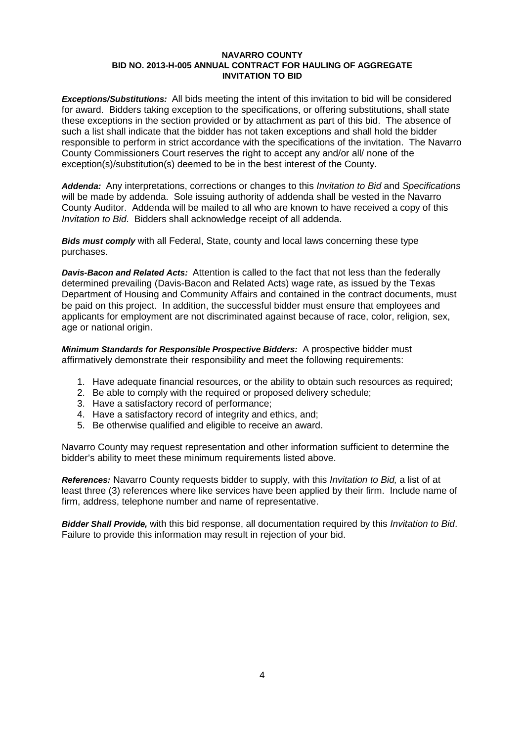*Exceptions/Substitutions:* All bids meeting the intent of this invitation to bid will be considered for award. Bidders taking exception to the specifications, or offering substitutions, shall state these exceptions in the section provided or by attachment as part of this bid. The absence of such a list shall indicate that the bidder has not taken exceptions and shall hold the bidder responsible to perform in strict accordance with the specifications of the invitation. The Navarro County Commissioners Court reserves the right to accept any and/or all/ none of the exception(s)/substitution(s) deemed to be in the best interest of the County.

*Addenda:* Any interpretations, corrections or changes to this *Invitation to Bid* and *Specifications* will be made by addenda. Sole issuing authority of addenda shall be vested in the Navarro County Auditor. Addenda will be mailed to all who are known to have received a copy of this *Invitation to Bid*. Bidders shall acknowledge receipt of all addenda.

*Bids must comply* with all Federal, State, county and local laws concerning these type purchases.

*Davis-Bacon and Related Acts:* Attention is called to the fact that not less than the federally determined prevailing (Davis-Bacon and Related Acts) wage rate, as issued by the Texas Department of Housing and Community Affairs and contained in the contract documents, must be paid on this project. In addition, the successful bidder must ensure that employees and applicants for employment are not discriminated against because of race, color, religion, sex, age or national origin.

*Minimum Standards for Responsible Prospective Bidders:* A prospective bidder must affirmatively demonstrate their responsibility and meet the following requirements:

- 1. Have adequate financial resources, or the ability to obtain such resources as required;
- 2. Be able to comply with the required or proposed delivery schedule;
- 3. Have a satisfactory record of performance;
- 4. Have a satisfactory record of integrity and ethics, and;
- 5. Be otherwise qualified and eligible to receive an award.

Navarro County may request representation and other information sufficient to determine the bidder's ability to meet these minimum requirements listed above.

*References:* Navarro County requests bidder to supply, with this *Invitation to Bid,* a list of at least three (3) references where like services have been applied by their firm. Include name of firm, address, telephone number and name of representative.

*Bidder Shall Provide,* with this bid response, all documentation required by this *Invitation to Bid*. Failure to provide this information may result in rejection of your bid.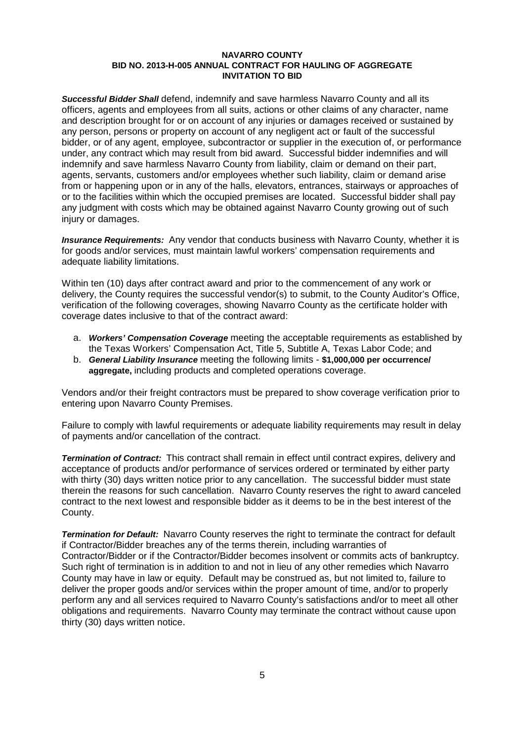*Successful Bidder Shall* defend, indemnify and save harmless Navarro County and all its officers, agents and employees from all suits, actions or other claims of any character, name and description brought for or on account of any injuries or damages received or sustained by any person, persons or property on account of any negligent act or fault of the successful bidder, or of any agent, employee, subcontractor or supplier in the execution of, or performance under, any contract which may result from bid award. Successful bidder indemnifies and will indemnify and save harmless Navarro County from liability, claim or demand on their part, agents, servants, customers and/or employees whether such liability, claim or demand arise from or happening upon or in any of the halls, elevators, entrances, stairways or approaches of or to the facilities within which the occupied premises are located. Successful bidder shall pay any judgment with costs which may be obtained against Navarro County growing out of such injury or damages.

*Insurance Requirements:* Any vendor that conducts business with Navarro County, whether it is for goods and/or services, must maintain lawful workers' compensation requirements and adequate liability limitations.

Within ten (10) days after contract award and prior to the commencement of any work or delivery, the County requires the successful vendor(s) to submit, to the County Auditor's Office, verification of the following coverages, showing Navarro County as the certificate holder with coverage dates inclusive to that of the contract award:

- a. *Workers' Compensation Coverage* meeting the acceptable requirements as established by the Texas Workers' Compensation Act, Title 5, Subtitle A, Texas Labor Code; and
- b. *General Liability Insurance* meeting the following limits **\$1,000,000 per occurrence/ aggregate,** including products and completed operations coverage.

Vendors and/or their freight contractors must be prepared to show coverage verification prior to entering upon Navarro County Premises.

Failure to comply with lawful requirements or adequate liability requirements may result in delay of payments and/or cancellation of the contract.

*Termination of Contract:* This contract shall remain in effect until contract expires, delivery and acceptance of products and/or performance of services ordered or terminated by either party with thirty (30) days written notice prior to any cancellation. The successful bidder must state therein the reasons for such cancellation. Navarro County reserves the right to award canceled contract to the next lowest and responsible bidder as it deems to be in the best interest of the County.

*Termination for Default:* Navarro County reserves the right to terminate the contract for default if Contractor/Bidder breaches any of the terms therein, including warranties of Contractor/Bidder or if the Contractor/Bidder becomes insolvent or commits acts of bankruptcy. Such right of termination is in addition to and not in lieu of any other remedies which Navarro County may have in law or equity. Default may be construed as, but not limited to, failure to deliver the proper goods and/or services within the proper amount of time, and/or to properly perform any and all services required to Navarro County's satisfactions and/or to meet all other obligations and requirements. Navarro County may terminate the contract without cause upon thirty (30) days written notice.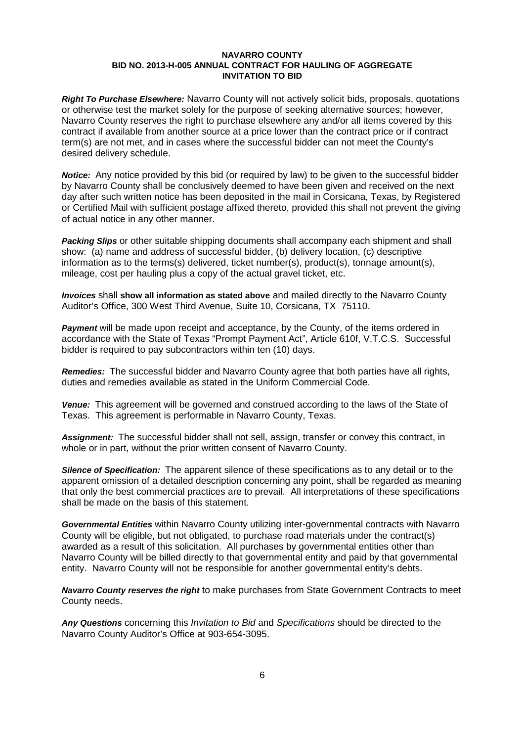*Right To Purchase Elsewhere:* Navarro County will not actively solicit bids, proposals, quotations or otherwise test the market solely for the purpose of seeking alternative sources; however, Navarro County reserves the right to purchase elsewhere any and/or all items covered by this contract if available from another source at a price lower than the contract price or if contract term(s) are not met, and in cases where the successful bidder can not meet the County's desired delivery schedule.

*Notice:* Any notice provided by this bid (or required by law) to be given to the successful bidder by Navarro County shall be conclusively deemed to have been given and received on the next day after such written notice has been deposited in the mail in Corsicana, Texas, by Registered or Certified Mail with sufficient postage affixed thereto, provided this shall not prevent the giving of actual notice in any other manner.

*Packing Slips* or other suitable shipping documents shall accompany each shipment and shall show: (a) name and address of successful bidder, (b) delivery location, (c) descriptive information as to the terms(s) delivered, ticket number(s), product(s), tonnage amount(s), mileage, cost per hauling plus a copy of the actual gravel ticket, etc.

*Invoices* shall **show all information as stated above** and mailed directly to the Navarro County Auditor's Office, 300 West Third Avenue, Suite 10, Corsicana, TX 75110.

**Payment** will be made upon receipt and acceptance, by the County, of the items ordered in accordance with the State of Texas "Prompt Payment Act", Article 610f, V.T.C.S. Successful bidder is required to pay subcontractors within ten (10) days.

*Remedies:* The successful bidder and Navarro County agree that both parties have all rights, duties and remedies available as stated in the Uniform Commercial Code.

*Venue:* This agreement will be governed and construed according to the laws of the State of Texas. This agreement is performable in Navarro County, Texas.

*Assignment:* The successful bidder shall not sell, assign, transfer or convey this contract, in whole or in part, without the prior written consent of Navarro County.

*Silence of Specification:* The apparent silence of these specifications as to any detail or to the apparent omission of a detailed description concerning any point, shall be regarded as meaning that only the best commercial practices are to prevail. All interpretations of these specifications shall be made on the basis of this statement.

*Governmental Entities* within Navarro County utilizing inter-governmental contracts with Navarro County will be eligible, but not obligated, to purchase road materials under the contract(s) awarded as a result of this solicitation. All purchases by governmental entities other than Navarro County will be billed directly to that governmental entity and paid by that governmental entity. Navarro County will not be responsible for another governmental entity's debts.

*Navarro County reserves the right* to make purchases from State Government Contracts to meet County needs.

*Any Questions* concerning this *Invitation to Bid* and *Specifications* should be directed to the Navarro County Auditor's Office at 903-654-3095.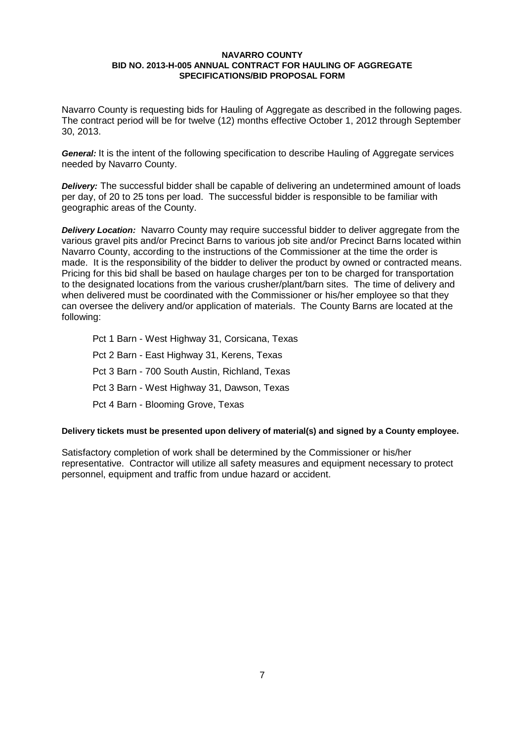Navarro County is requesting bids for Hauling of Aggregate as described in the following pages. The contract period will be for twelve (12) months effective October 1, 2012 through September 30, 2013.

*General:* It is the intent of the following specification to describe Hauling of Aggregate services needed by Navarro County.

*Delivery:* The successful bidder shall be capable of delivering an undetermined amount of loads per day, of 20 to 25 tons per load. The successful bidder is responsible to be familiar with geographic areas of the County.

*Delivery Location:* Navarro County may require successful bidder to deliver aggregate from the various gravel pits and/or Precinct Barns to various job site and/or Precinct Barns located within Navarro County, according to the instructions of the Commissioner at the time the order is made. It is the responsibility of the bidder to deliver the product by owned or contracted means. Pricing for this bid shall be based on haulage charges per ton to be charged for transportation to the designated locations from the various crusher/plant/barn sites. The time of delivery and when delivered must be coordinated with the Commissioner or his/her employee so that they can oversee the delivery and/or application of materials. The County Barns are located at the following:

Pct 1 Barn - West Highway 31, Corsicana, Texas Pct 2 Barn - East Highway 31, Kerens, Texas Pct 3 Barn - 700 South Austin, Richland, Texas Pct 3 Barn - West Highway 31, Dawson, Texas Pct 4 Barn - Blooming Grove, Texas

## **Delivery tickets must be presented upon delivery of material(s) and signed by a County employee.**

Satisfactory completion of work shall be determined by the Commissioner or his/her representative. Contractor will utilize all safety measures and equipment necessary to protect personnel, equipment and traffic from undue hazard or accident.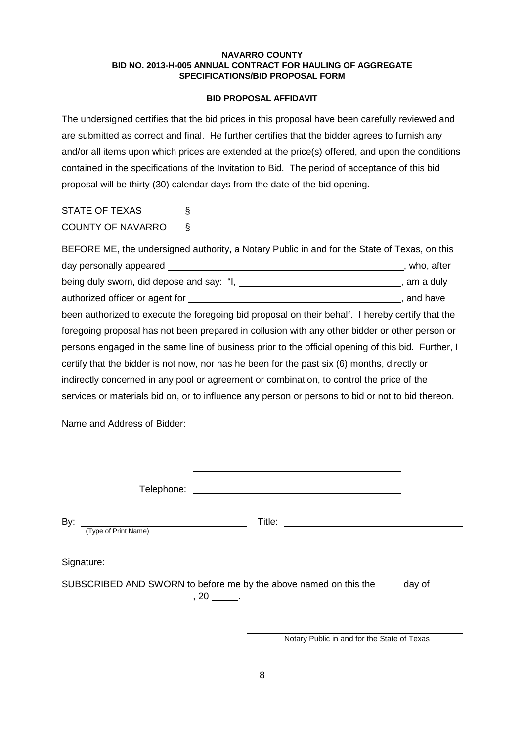#### **BID PROPOSAL AFFIDAVIT**

The undersigned certifies that the bid prices in this proposal have been carefully reviewed and are submitted as correct and final. He further certifies that the bidder agrees to furnish any and/or all items upon which prices are extended at the price(s) offered, and upon the conditions contained in the specifications of the Invitation to Bid. The period of acceptance of this bid proposal will be thirty (30) calendar days from the date of the bid opening.

| <b>STATE OF TEXAS</b>    | Ş |  |
|--------------------------|---|--|
| <b>COUNTY OF NAVARRO</b> |   |  |

| BEFORE ME, the undersigned authority, a Notary Public in and for the State of Texas, on this                    |  |  |
|-----------------------------------------------------------------------------------------------------------------|--|--|
| day personally appeared example and the set of the set of the set of the set of the set of the set of the set o |  |  |
| being duly sworn, did depose and say: "I, ________________________________, am a duly                           |  |  |
|                                                                                                                 |  |  |
| been authorized to execute the foregoing bid proposal on their behalf. I hereby certify that the                |  |  |
| foregoing proposal has not been prepared in collusion with any other bidder or other person or                  |  |  |
| persons engaged in the same line of business prior to the official opening of this bid. Further, I              |  |  |
| certify that the bidder is not now, nor has he been for the past six (6) months, directly or                    |  |  |
| indirectly concerned in any pool or agreement or combination, to control the price of the                       |  |  |
| services or materials bid on, or to influence any person or persons to bid or not to bid thereon.               |  |  |
|                                                                                                                 |  |  |

| By: | (Type of Print Name) |                                                                               |  |
|-----|----------------------|-------------------------------------------------------------------------------|--|
|     |                      |                                                                               |  |
|     | $\sim$ , 20 $\sim$ . | SUBSCRIBED AND SWORN to before me by the above named on this the _____ day of |  |

Notary Public in and for the State of Texas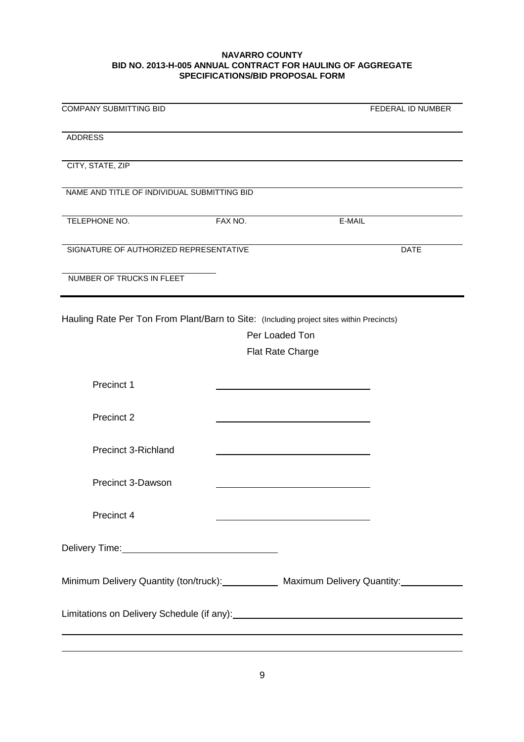| <b>COMPANY SUBMITTING BID</b>                                                            |                                                            | FEDERAL ID NUMBER                                                                            |
|------------------------------------------------------------------------------------------|------------------------------------------------------------|----------------------------------------------------------------------------------------------|
| <b>ADDRESS</b>                                                                           |                                                            |                                                                                              |
| CITY, STATE, ZIP                                                                         |                                                            |                                                                                              |
| NAME AND TITLE OF INDIVIDUAL SUBMITTING BID                                              |                                                            |                                                                                              |
| TELEPHONE NO.                                                                            | FAX NO.                                                    | E-MAIL                                                                                       |
| SIGNATURE OF AUTHORIZED REPRESENTATIVE                                                   |                                                            | <b>DATE</b>                                                                                  |
| NUMBER OF TRUCKS IN FLEET                                                                |                                                            |                                                                                              |
| Hauling Rate Per Ton From Plant/Barn to Site: (Including project sites within Precincts) |                                                            |                                                                                              |
|                                                                                          | Per Loaded Ton                                             |                                                                                              |
|                                                                                          |                                                            |                                                                                              |
|                                                                                          | <b>Flat Rate Charge</b>                                    |                                                                                              |
| Precinct 1                                                                               |                                                            |                                                                                              |
| Precinct 2                                                                               |                                                            |                                                                                              |
| <b>Precinct 3-Richland</b>                                                               |                                                            |                                                                                              |
| <b>Precinct 3-Dawson</b>                                                                 |                                                            |                                                                                              |
| Precinct 4                                                                               | <u> 1989 - Johann Barn, amerikansk politiker (d. 1989)</u> |                                                                                              |
| Delivery Time: 2008                                                                      |                                                            |                                                                                              |
|                                                                                          |                                                            | Minimum Delivery Quantity (ton/truck): Maximum Delivery Quantity: Minimum Delivery Quantity: |
|                                                                                          |                                                            |                                                                                              |
|                                                                                          |                                                            |                                                                                              |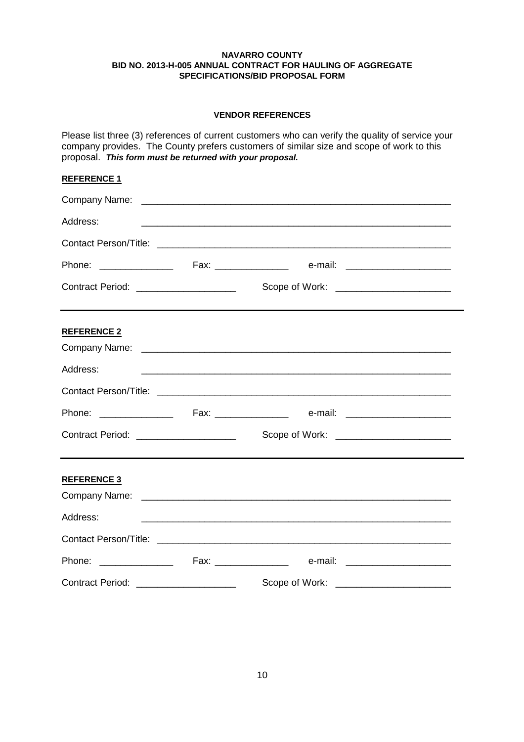# **VENDOR REFERENCES**

Please list three (3) references of current customers who can verify the quality of service your company provides. The County prefers customers of similar size and scope of work to this proposal. *This form must be returned with your proposal.*

# **REFERENCE 1**

| Address:                               |                                                                                                                       |  |
|----------------------------------------|-----------------------------------------------------------------------------------------------------------------------|--|
|                                        |                                                                                                                       |  |
|                                        |                                                                                                                       |  |
|                                        | <u> 1980 - Johann Stoff, deutscher Stoff, der Stoff, der Stoff, der Stoff, der Stoff, der Stoff, der Stoff, der S</u> |  |
| <b>REFERENCE 2</b>                     |                                                                                                                       |  |
|                                        |                                                                                                                       |  |
| Address:                               |                                                                                                                       |  |
|                                        |                                                                                                                       |  |
|                                        |                                                                                                                       |  |
| Contract Period: _____________________ |                                                                                                                       |  |
| <b>REFERENCE 3</b>                     |                                                                                                                       |  |
|                                        |                                                                                                                       |  |
| Address:                               | <u> 1999 - Johann Harry Harry Harry Harry Harry Harry Harry Harry Harry Harry Harry Harry Harry Harry Harry Harry</u> |  |
|                                        |                                                                                                                       |  |
|                                        |                                                                                                                       |  |
| Contract Period: _____________________ | Scope of Work: _________________________                                                                              |  |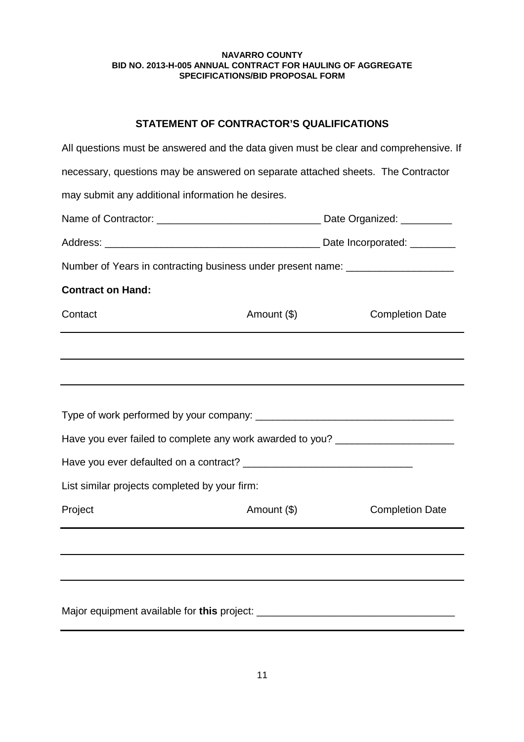# **STATEMENT OF CONTRACTOR'S QUALIFICATIONS**

| All questions must be answered and the data given must be clear and comprehensive. If |             |                        |  |
|---------------------------------------------------------------------------------------|-------------|------------------------|--|
| necessary, questions may be answered on separate attached sheets. The Contractor      |             |                        |  |
| may submit any additional information he desires.                                     |             |                        |  |
|                                                                                       |             |                        |  |
|                                                                                       |             |                        |  |
| Number of Years in contracting business under present name: ____________________      |             |                        |  |
| <b>Contract on Hand:</b>                                                              |             |                        |  |
| Contact                                                                               | Amount (\$) | <b>Completion Date</b> |  |
|                                                                                       |             |                        |  |
|                                                                                       |             |                        |  |
|                                                                                       |             |                        |  |
|                                                                                       |             |                        |  |
| Have you ever failed to complete any work awarded to you? ______________________      |             |                        |  |
|                                                                                       |             |                        |  |
| List similar projects completed by your firm:                                         |             |                        |  |
| Project                                                                               | Amount (\$) | <b>Completion Date</b> |  |
|                                                                                       |             |                        |  |
|                                                                                       |             |                        |  |
|                                                                                       |             |                        |  |
|                                                                                       |             |                        |  |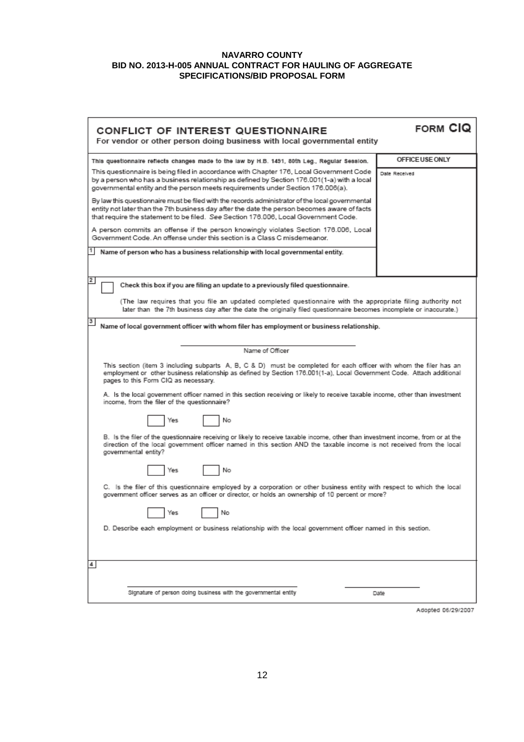| <b>CONFLICT OF INTEREST QUESTIONNAIRE</b><br>For vendor or other person doing business with local governmental entity                                                                                                                                                                  | <b>FORM CIQ</b> |  |
|----------------------------------------------------------------------------------------------------------------------------------------------------------------------------------------------------------------------------------------------------------------------------------------|-----------------|--|
| This questionnaire reflects changes made to the law by H.B. 1491, 80th Leg., Regular Session.                                                                                                                                                                                          | OFFICE USE ONLY |  |
| This questionnaire is being filed in accordance with Chapter 176, Local Government Code<br>by a person who has a business relationship as defined by Section 176.001(1-a) with a local<br>governmental entity and the person meets requirements under Section 176.006(a).              | Date Received   |  |
| By law this questionnaire must be filed with the records administrator of the local governmental<br>entity not later than the 7th business day after the date the person becomes aware of facts<br>that require the statement to be filed. See Section 176.006, Local Government Code. |                 |  |
| A person commits an offense if the person knowingly violates Section 176.006, Local<br>Government Code. An offense under this section is a Class C misdemeanor.                                                                                                                        |                 |  |
| Name of person who has a business relationship with local governmental entity.                                                                                                                                                                                                         |                 |  |
|                                                                                                                                                                                                                                                                                        |                 |  |
| 2<br>Check this box if you are filing an update to a previously filed questionnaire.                                                                                                                                                                                                   |                 |  |
| (The law requires that you file an updated completed questionnaire with the appropriate filing authority not<br>later than the 7th business day after the date the originally filed questionnaire becomes incomplete or inaccurate.)                                                   |                 |  |
| 3<br>Name of local government officer with whom filer has employment or business relationship.                                                                                                                                                                                         |                 |  |
|                                                                                                                                                                                                                                                                                        |                 |  |
| Name of Officer                                                                                                                                                                                                                                                                        |                 |  |
| This section (item 3 including subparts A, B, C & D) must be completed for each officer with whom the filer has an<br>employment or other business relationship as defined by Section 176.001(1-a), Local Government Code. Attach additional<br>pages to this Form CIQ as necessary.   |                 |  |
| A. Is the local government officer named in this section receiving or likely to receive taxable income, other than investment<br>income, from the filer of the questionnaire?                                                                                                          |                 |  |
| No<br>Yes                                                                                                                                                                                                                                                                              |                 |  |
| B. Is the filer of the questionnaire receiving or likely to receive taxable income, other than investment income, from or at the<br>direction of the local government officer named in this section AND the taxable income is not received from the local<br>governmental entity?      |                 |  |
| No<br>Yes                                                                                                                                                                                                                                                                              |                 |  |
| C. Is the filer of this questionnaire employed by a corporation or other business entity with respect to which the local<br>government officer serves as an officer or director, or holds an ownership of 10 percent or more?                                                          |                 |  |
| T Yes<br>No                                                                                                                                                                                                                                                                            |                 |  |
| D. Describe each employment or business relationship with the local government officer named in this section.                                                                                                                                                                          |                 |  |
|                                                                                                                                                                                                                                                                                        |                 |  |
| 4                                                                                                                                                                                                                                                                                      |                 |  |
| Signature of person doing business with the governmental entity                                                                                                                                                                                                                        | Date            |  |
|                                                                                                                                                                                                                                                                                        |                 |  |

Adopted 06/29/2007